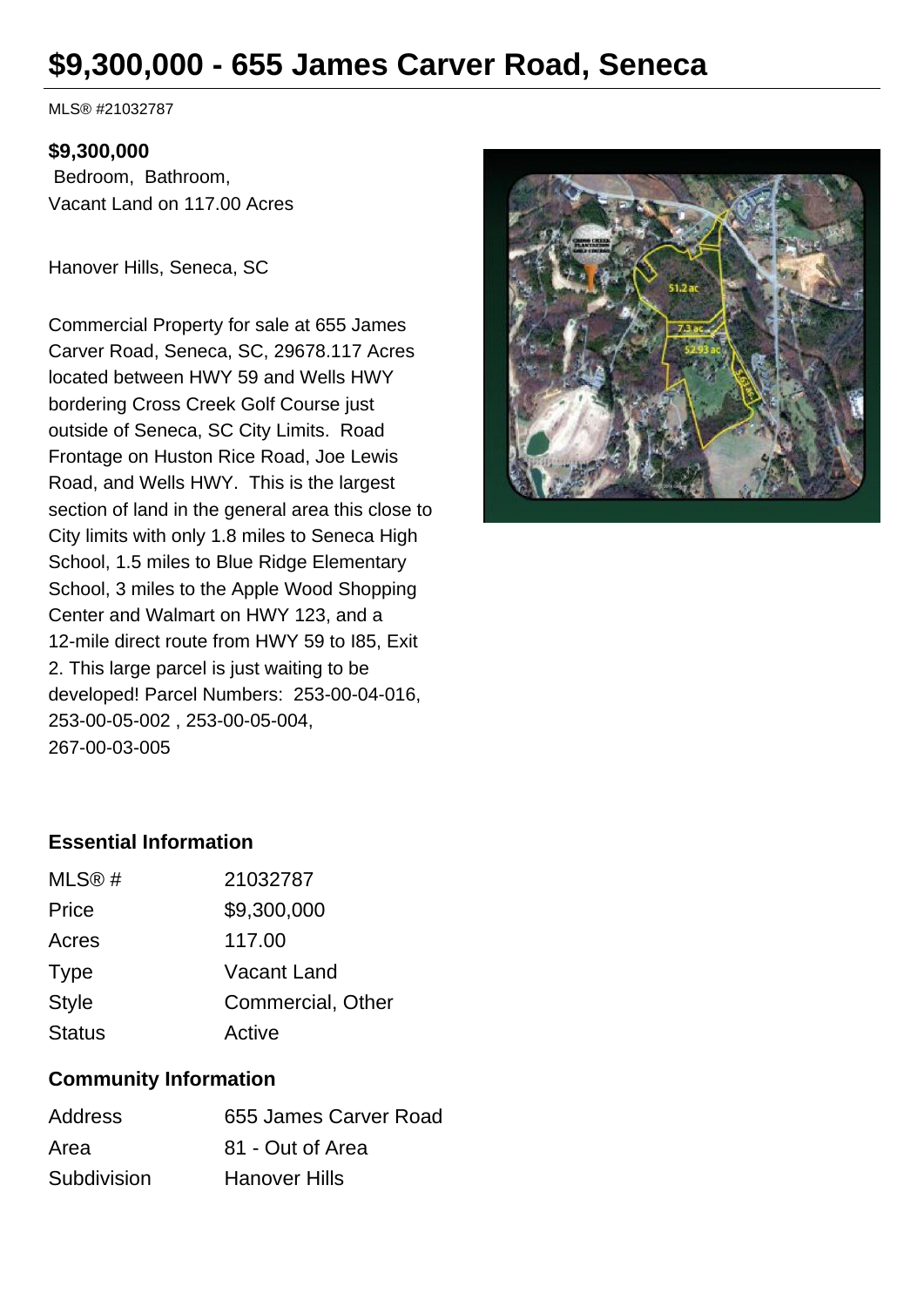# **\$9,300,000 - 655 James Carver Road, Seneca**

MLS® #21032787

## **\$9,300,000**

 Bedroom, Bathroom, Vacant Land on 117.00 Acres

Hanover Hills, Seneca, SC

Commercial Property for sale at 655 James Carver Road, Seneca, SC, 29678.117 Acres located between HWY 59 and Wells HWY bordering Cross Creek Golf Course just outside of Seneca, SC City Limits. Road Frontage on Huston Rice Road, Joe Lewis Road, and Wells HWY. This is the largest section of land in the general area this close to City limits with only 1.8 miles to Seneca High School, 1.5 miles to Blue Ridge Elementary School, 3 miles to the Apple Wood Shopping Center and Walmart on HWY 123, and a 12-mile direct route from HWY 59 to I85, Exit 2. This large parcel is just waiting to be developed! Parcel Numbers: 253-00-04-016, 253-00-05-002 , 253-00-05-004, 267-00-03-005



# **Essential Information**

| Commercial, Other |
|-------------------|
|                   |
|                   |

## **Community Information**

| <b>Address</b> | 655 James Carver Road |
|----------------|-----------------------|
| Area           | 81 - Out of Area      |
| Subdivision    | <b>Hanover Hills</b>  |